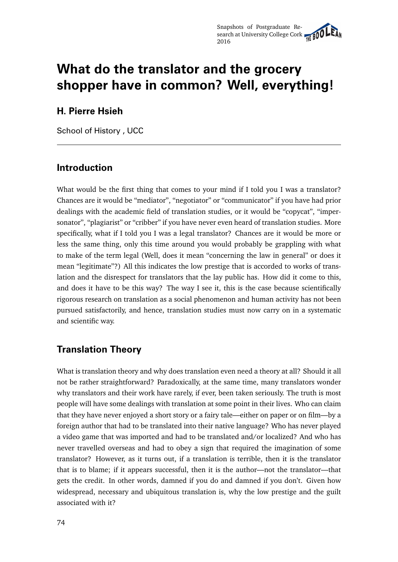# **What do the translator and the grocery shopper have in common? Well, everything!**

#### **H. Pierre Hsieh**

School of History , UCC

#### **Introduction**

What would be the first thing that comes to your mind if I told you I was a translator? Chances are it would be "mediator", "negotiator" or "communicator" if you have had prior dealings with the academic field of translation studies, or it would be "copycat", "impersonator", "plagiarist" or "cribber" if you have never even heard of translation studies. More specifically, what if I told you I was a legal translator? Chances are it would be more or less the same thing, only this time around you would probably be grappling with what to make of the term legal (Well, does it mean "concerning the law in general" or does it mean "legitimate"?) All this indicates the low prestige that is accorded to works of translation and the disrespect for translators that the lay public has. How did it come to this, and does it have to be this way? The way I see it, this is the case because scientifically rigorous research on translation as a social phenomenon and human activity has not been pursued satisfactorily, and hence, translation studies must now carry on in a systematic and scientific way.

### **Translation Theory**

What is translation theory and why does translation even need a theory at all? Should it all not be rather straightforward? Paradoxically, at the same time, many translators wonder why translators and their work have rarely, if ever, been taken seriously. The truth is most people will have some dealings with translation at some point in their lives. Who can claim that they have never enjoyed a short story or a fairy tale—either on paper or on film—by a foreign author that had to be translated into their native language? Who has never played a video game that was imported and had to be translated and/or localized? And who has never travelled overseas and had to obey a sign that required the imagination of some translator? However, as it turns out, if a translation is terrible, then it is the translator that is to blame; if it appears successful, then it is the author—not the translator—that gets the credit. In other words, damned if you do and damned if you don't. Given how widespread, necessary and ubiquitous translation is, why the low prestige and the guilt associated with it?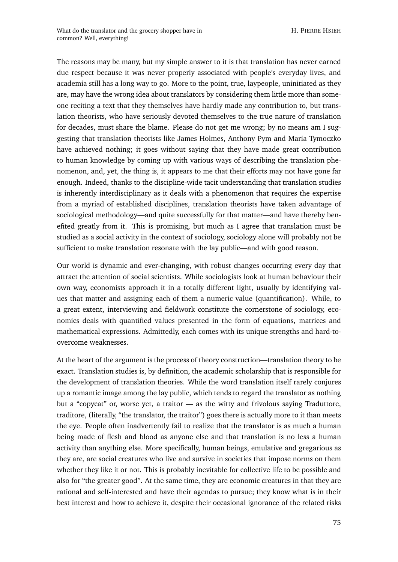The reasons may be many, but my simple answer to it is that translation has never earned due respect because it was never properly associated with people's everyday lives, and academia still has a long way to go. More to the point, true, laypeople, uninitiated as they are, may have the wrong idea about translators by considering them little more than someone reciting a text that they themselves have hardly made any contribution to, but translation theorists, who have seriously devoted themselves to the true nature of translation for decades, must share the blame. Please do not get me wrong; by no means am I suggesting that translation theorists like James Holmes, Anthony Pym and Maria Tymoczko have achieved nothing; it goes without saying that they have made great contribution to human knowledge by coming up with various ways of describing the translation phenomenon, and, yet, the thing is, it appears to me that their efforts may not have gone far enough. Indeed, thanks to the discipline-wide tacit understanding that translation studies is inherently interdisciplinary as it deals with a phenomenon that requires the expertise from a myriad of established disciplines, translation theorists have taken advantage of sociological methodology—and quite successfully for that matter—and have thereby benefited greatly from it. This is promising, but much as I agree that translation must be studied as a social activity in the context of sociology, sociology alone will probably not be sufficient to make translation resonate with the lay public—and with good reason.

Our world is dynamic and ever-changing, with robust changes occurring every day that attract the attention of social scientists. While sociologists look at human behaviour their own way, economists approach it in a totally different light, usually by identifying values that matter and assigning each of them a numeric value (quantification). While, to a great extent, interviewing and fieldwork constitute the cornerstone of sociology, economics deals with quantified values presented in the form of equations, matrices and mathematical expressions. Admittedly, each comes with its unique strengths and hard-toovercome weaknesses.

At the heart of the argument is the process of theory construction—translation theory to be exact. Translation studies is, by definition, the academic scholarship that is responsible for the development of translation theories. While the word translation itself rarely conjures up a romantic image among the lay public, which tends to regard the translator as nothing but a "copycat" or, worse yet, a traitor — as the witty and frivolous saying Traduttore, traditore, (literally, "the translator, the traitor") goes there is actually more to it than meets the eye. People often inadvertently fail to realize that the translator is as much a human being made of flesh and blood as anyone else and that translation is no less a human activity than anything else. More specifically, human beings, emulative and gregarious as they are, are social creatures who live and survive in societies that impose norms on them whether they like it or not. This is probably inevitable for collective life to be possible and also for "the greater good". At the same time, they are economic creatures in that they are rational and self-interested and have their agendas to pursue; they know what is in their best interest and how to achieve it, despite their occasional ignorance of the related risks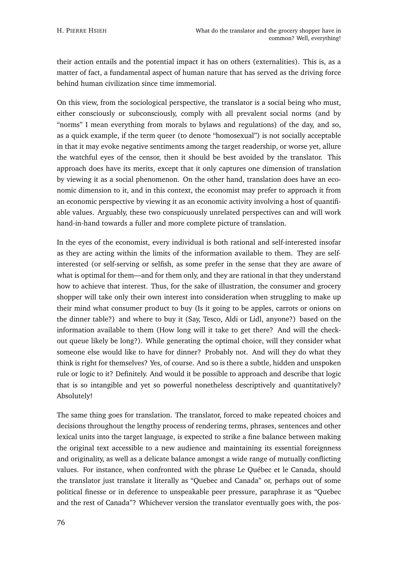their action entails and the potential impact it has on others (externalities). This is, as a matter of fact, a fundamental aspect of human nature that has served as the driving force behind human civilization since time immemorial.

On this view, from the sociological perspective, the translator is a social being who must, either consciously or subconsciously, comply with all prevalent social norms (and by "norms" I mean everything from morals to bylaws and regulations) of the day, and so, as a quick example, if the term queer (to denote "homosexual") is not socially acceptable in that it may evoke negative sentiments among the target readership, or worse yet, allure the watchful eyes of the censor, then it should be best avoided by the translator. This approach does have its merits, except that it only captures one dimension of translation by viewing it as a social phenomenon. On the other hand, translation does have an economic dimension to it, and in this context, the economist may prefer to approach it from an economic perspective by viewing it as an economic activity involving a host of quantifiable values. Arguably, these two conspicuously unrelated perspectives can and will work hand-in-hand towards a fuller and more complete picture of translation.

In the eyes of the economist, every individual is both rational and self-interested insofar as they are acting within the limits of the information available to them. They are selfinterested (or self-serving or selfish, as some prefer in the sense that they are aware of what is optimal for them—and for them only, and they are rational in that they understand how to achieve that interest. Thus, for the sake of illustration, the consumer and grocery shopper will take only their own interest into consideration when struggling to make up their mind what consumer product to buy (Is it going to be apples, carrots or onions on the dinner table?) and where to buy it (Say, Tesco, Aldi or Lidl, anyone?) based on the information available to them (How long will it take to get there? And will the checkout queue likely be long?). While generating the optimal choice, will they consider what someone else would like to have for dinner? Probably not. And will they do what they think is right for themselves? Yes, of course. And so is there a subtle, hidden and unspoken rule or logic to it? Definitely. And would it be possible to approach and describe that logic that is so intangible and yet so powerful nonetheless descriptively and quantitatively? Absolutely!

The same thing goes for translation. The translator, forced to make repeated choices and decisions throughout the lengthy process of rendering terms, phrases, sentences and other lexical units into the target language, is expected to strike a fine balance between making the original text accessible to a new audience and maintaining its essential foreignness and originality, as well as a delicate balance amongst a wide range of mutually conflicting values. For instance, when confronted with the phrase Le Québec et le Canada, should the translator just translate it literally as "Quebec and Canada" or, perhaps out of some political finesse or in deference to unspeakable peer pressure, paraphrase it as "Quebec and the rest of Canada"? Whichever version the translator eventually goes with, the pos-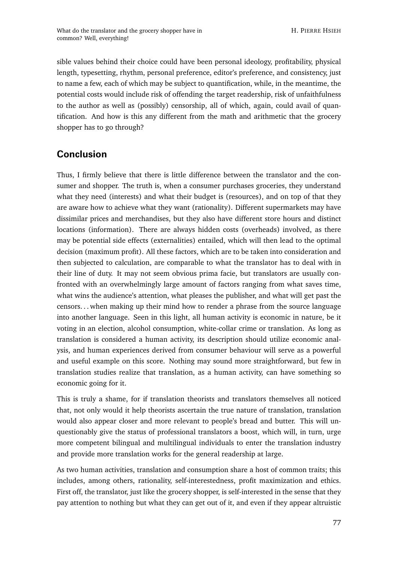sible values behind their choice could have been personal ideology, profitability, physical length, typesetting, rhythm, personal preference, editor's preference, and consistency, just to name a few, each of which may be subject to quantification, while, in the meantime, the potential costs would include risk of offending the target readership, risk of unfaithfulness to the author as well as (possibly) censorship, all of which, again, could avail of quantification. And how is this any different from the math and arithmetic that the grocery shopper has to go through?

## **Conclusion**

Thus, I firmly believe that there is little difference between the translator and the consumer and shopper. The truth is, when a consumer purchases groceries, they understand what they need (interests) and what their budget is (resources), and on top of that they are aware how to achieve what they want (rationality). Different supermarkets may have dissimilar prices and merchandises, but they also have different store hours and distinct locations (information). There are always hidden costs (overheads) involved, as there may be potential side effects (externalities) entailed, which will then lead to the optimal decision (maximum profit). All these factors, which are to be taken into consideration and then subjected to calculation, are comparable to what the translator has to deal with in their line of duty. It may not seem obvious prima facie, but translators are usually confronted with an overwhelmingly large amount of factors ranging from what saves time, what wins the audience's attention, what pleases the publisher, and what will get past the censors. . . when making up their mind how to render a phrase from the source language into another language. Seen in this light, all human activity is economic in nature, be it voting in an election, alcohol consumption, white-collar crime or translation. As long as translation is considered a human activity, its description should utilize economic analysis, and human experiences derived from consumer behaviour will serve as a powerful and useful example on this score. Nothing may sound more straightforward, but few in translation studies realize that translation, as a human activity, can have something so economic going for it.

This is truly a shame, for if translation theorists and translators themselves all noticed that, not only would it help theorists ascertain the true nature of translation, translation would also appear closer and more relevant to people's bread and butter. This will unquestionably give the status of professional translators a boost, which will, in turn, urge more competent bilingual and multilingual individuals to enter the translation industry and provide more translation works for the general readership at large.

As two human activities, translation and consumption share a host of common traits; this includes, among others, rationality, self-interestedness, profit maximization and ethics. First off, the translator, just like the grocery shopper, is self-interested in the sense that they pay attention to nothing but what they can get out of it, and even if they appear altruistic